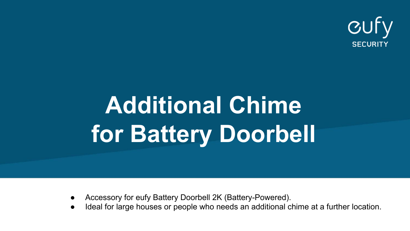

# **Additional Chime for Battery Doorbell**

- Accessory for eufy Battery Doorbell 2K (Battery-Powered).
- Ideal for large houses or people who needs an additional chime at a further location.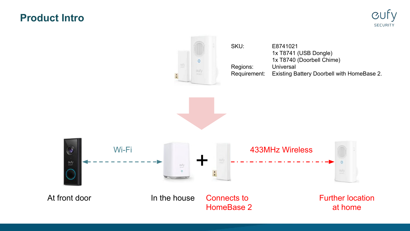## **Product Intro**



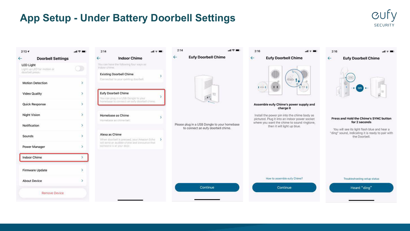## **App Setup - Under Battery Doorbell Settings**